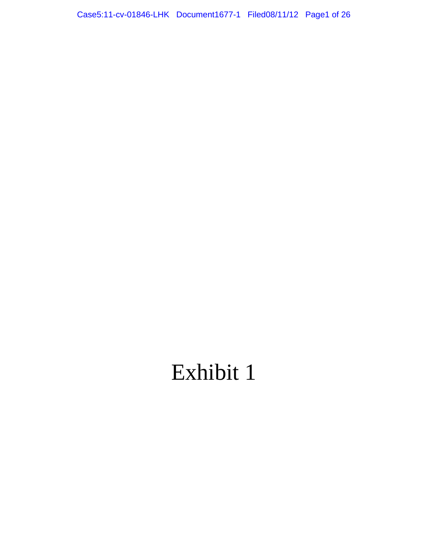## Exhibit 1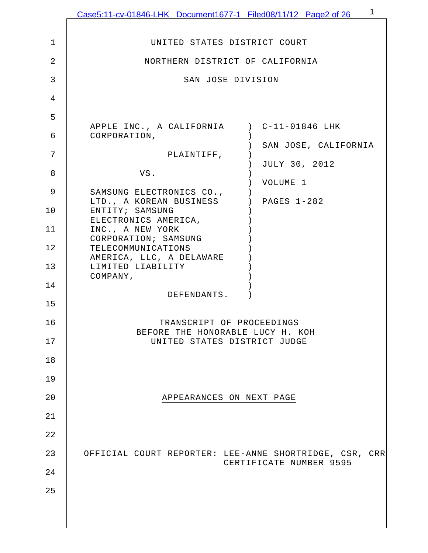|                | Case5:11-cv-01846-LHK Document1677-1 Filed08/11/12 Page2 of 26   | $\mathbf 1$             |
|----------------|------------------------------------------------------------------|-------------------------|
| $\mathbf{1}$   | UNITED STATES DISTRICT COURT                                     |                         |
| $\overline{2}$ | NORTHERN DISTRICT OF CALIFORNIA                                  |                         |
| 3              | SAN JOSE DIVISION                                                |                         |
| 4              |                                                                  |                         |
| 5              |                                                                  |                         |
| 6              | APPLE INC., A CALIFORNIA ) C-11-01846 LHK<br>CORPORATION,        |                         |
|                |                                                                  | SAN JOSE, CALIFORNIA    |
| 7              | PLAINTIFF,                                                       | JULY 30, 2012           |
| 8              | VS.                                                              | VOLUME 1                |
| 9              | SAMSUNG ELECTRONICS CO.,<br>LTD., A KOREAN BUSINESS              | ) PAGES 1-282           |
| 10             | ENTITY; SAMSUNG<br>ELECTRONICS AMERICA,                          |                         |
| 11             | INC., A NEW YORK<br>CORPORATION; SAMSUNG                         |                         |
| 12             | TELECOMMUNICATIONS<br>AMERICA, LLC, A DELAWARE                   |                         |
| 13             | LIMITED LIABILITY<br>COMPANY,                                    |                         |
| 14             | DEFENDANTS.                                                      |                         |
| 15             |                                                                  |                         |
| 16             | TRANSCRIPT OF PROCEEDINGS                                        |                         |
| 17             | BEFORE THE HONORABLE LUCY H. KOH<br>UNITED STATES DISTRICT JUDGE |                         |
| 18             |                                                                  |                         |
| 19             |                                                                  |                         |
| 20             | APPEARANCES ON NEXT PAGE                                         |                         |
| 21             |                                                                  |                         |
| 22             |                                                                  |                         |
| 23             | OFFICIAL COURT REPORTER: LEE-ANNE SHORTRIDGE, CSR, CRR           |                         |
| 24             |                                                                  | CERTIFICATE NUMBER 9595 |
| 25             |                                                                  |                         |
|                |                                                                  |                         |
|                |                                                                  |                         |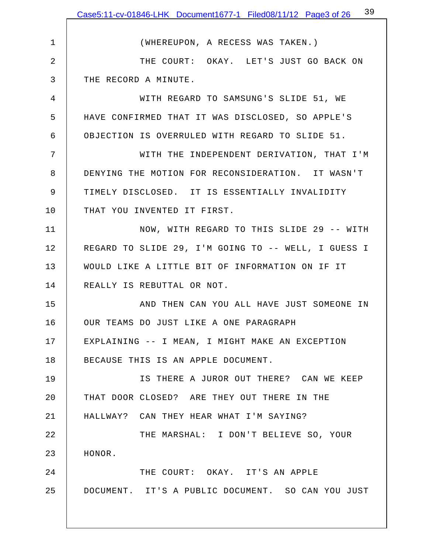|                | Case5:11-cv-01846-LHK Document1677-1 Filed08/11/12 Page3 of 26 <sup>39</sup> |
|----------------|------------------------------------------------------------------------------|
|                |                                                                              |
| $\mathbf{1}$   | (WHEREUPON, A RECESS WAS TAKEN.)                                             |
| $\overline{2}$ | THE COURT: OKAY. LET'S JUST GO BACK ON                                       |
| 3              | THE RECORD A MINUTE.                                                         |
| 4              | WITH REGARD TO SAMSUNG'S SLIDE 51, WE                                        |
| 5              | HAVE CONFIRMED THAT IT WAS DISCLOSED, SO APPLE'S                             |
| 6              | OBJECTION IS OVERRULED WITH REGARD TO SLIDE 51.                              |
| 7              | WITH THE INDEPENDENT DERIVATION, THAT I'M                                    |
| 8              | DENYING THE MOTION FOR RECONSIDERATION. IT WASN'T                            |
| 9              | TIMELY DISCLOSED. IT IS ESSENTIALLY INVALIDITY                               |
| 10             | THAT YOU INVENTED IT FIRST.                                                  |
| 11             | NOW, WITH REGARD TO THIS SLIDE 29 -- WITH                                    |
| 12             | REGARD TO SLIDE 29, I'M GOING TO -- WELL, I GUESS I                          |
| 13             | WOULD LIKE A LITTLE BIT OF INFORMATION ON IF IT                              |
| 14             | REALLY IS REBUTTAL OR NOT.                                                   |
| 15             | AND THEN CAN YOU ALL HAVE JUST SOMEONE IN                                    |
| 16             | OUR TEAMS DO JUST LIKE A ONE PARAGRAPH                                       |
| 17             | EXPLAINING -- I MEAN, I MIGHT MAKE AN EXCEPTION                              |
| 18             | BECAUSE THIS IS AN APPLE DOCUMENT.                                           |
| 19             | IS THERE A JUROR OUT THERE? CAN WE KEEP                                      |
| 20             | THAT DOOR CLOSED? ARE THEY OUT THERE IN THE                                  |
| 21             | HALLWAY? CAN THEY HEAR WHAT I'M SAYING?                                      |
| 22             | THE MARSHAL: I DON'T BELIEVE SO, YOUR                                        |
| 23             | HONOR.                                                                       |
| 24             | THE COURT: OKAY. IT'S AN APPLE                                               |
| 25             | DOCUMENT. IT'S A PUBLIC DOCUMENT. SO CAN YOU JUST                            |
|                |                                                                              |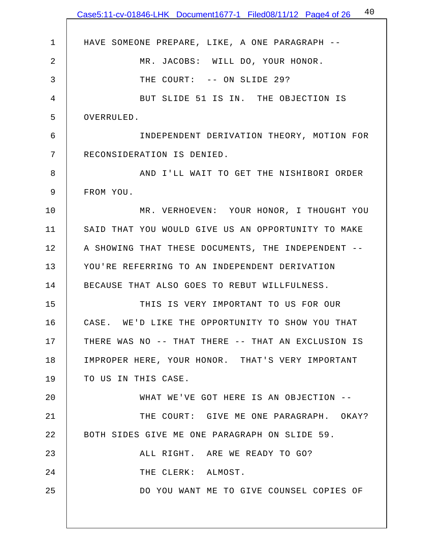|             | 40<br>Case5:11-cv-01846-LHK Document1677-1 Filed08/11/12 Page4 of 26 |
|-------------|----------------------------------------------------------------------|
| $\mathbf 1$ | HAVE SOMEONE PREPARE, LIKE, A ONE PARAGRAPH --                       |
| 2           | MR. JACOBS: WILL DO, YOUR HONOR.                                     |
| 3           | THE COURT: -- ON SLIDE 29?                                           |
| 4           | BUT SLIDE 51 IS IN. THE OBJECTION IS                                 |
| 5           | OVERRULED.                                                           |
| 6           | INDEPENDENT DERIVATION THEORY, MOTION FOR                            |
| 7           | RECONSIDERATION IS DENIED.                                           |
| 8           | AND I'LL WAIT TO GET THE NISHIBORI ORDER                             |
| 9           | FROM YOU.                                                            |
| 10          | MR. VERHOEVEN: YOUR HONOR, I THOUGHT YOU                             |
| 11          | SAID THAT YOU WOULD GIVE US AN OPPORTUNITY TO MAKE                   |
| 12          | A SHOWING THAT THESE DOCUMENTS, THE INDEPENDENT --                   |
| 13          | YOU'RE REFERRING TO AN INDEPENDENT DERIVATION                        |
| 14          | BECAUSE THAT ALSO GOES TO REBUT WILLFULNESS.                         |
| 15          | THIS IS VERY IMPORTANT TO US FOR OUR                                 |
| 16          | CASE. WE'D LIKE THE OPPORTUNITY TO SHOW YOU THAT                     |
| 17          | THERE WAS NO -- THAT THERE -- THAT AN EXCLUSION IS                   |
| 18          |                                                                      |
| 19          | IMPROPER HERE, YOUR HONOR. THAT'S VERY IMPORTANT                     |
| 20          | TO US IN THIS CASE.<br>WHAT WE'VE GOT HERE IS AN OBJECTION --        |
|             |                                                                      |
| 21          | THE COURT: GIVE ME ONE PARAGRAPH. OKAY?                              |
| 22          | BOTH SIDES GIVE ME ONE PARAGRAPH ON SLIDE 59.                        |
| 23          | ALL RIGHT. ARE WE READY TO GO?                                       |
| 24          | THE CLERK: ALMOST.                                                   |
| 25          | DO YOU WANT ME TO GIVE COUNSEL COPIES OF                             |
|             |                                                                      |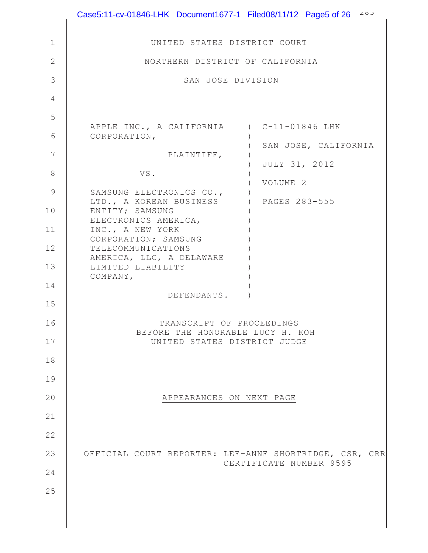|               | Case5:11-cv-01846-LHK Document1677-1 Filed08/11/12 Page5 of 26 $20-20$ |
|---------------|------------------------------------------------------------------------|
| $\mathbf 1$   | UNITED STATES DISTRICT COURT                                           |
| 2             | NORTHERN DISTRICT OF CALIFORNIA                                        |
| 3             | SAN JOSE DIVISION                                                      |
| 4             |                                                                        |
| 5             |                                                                        |
| 6             | APPLE INC., A CALIFORNIA ) C-11-01846 LHK<br>CORPORATION,              |
| 7             | SAN JOSE, CALIFORNIA<br>PLAINTIFF,                                     |
| 8             | JULY 31, 2012<br>VS.                                                   |
| $\mathcal{G}$ | VOLUME 2<br>SAMSUNG ELECTRONICS CO.,                                   |
| 10            | ) PAGES 283-555<br>LTD., A KOREAN BUSINESS<br>ENTITY; SAMSUNG          |
|               | ELECTRONICS AMERICA,                                                   |
| 11            | INC., A NEW YORK<br>CORPORATION; SAMSUNG                               |
| 12            | TELECOMMUNICATIONS<br>AMERICA, LLC, A DELAWARE                         |
| 13            | LIMITED LIABILITY<br>COMPANY,                                          |
| 14            | DEFENDANTS.                                                            |
| 15            |                                                                        |
| 16            | TRANSCRIPT OF PROCEEDINGS<br>BEFORE THE HONORABLE LUCY H. KOH          |
| 17            | UNITED STATES DISTRICT JUDGE                                           |
| 18            |                                                                        |
| 19            |                                                                        |
| 20            | APPEARANCES ON NEXT PAGE                                               |
| 21            |                                                                        |
| 22            |                                                                        |
| 23            | OFFICIAL COURT REPORTER: LEE-ANNE SHORTRIDGE, CSR, CRR                 |
| 24            | CERTIFICATE NUMBER 9595                                                |
| 25            |                                                                        |
|               |                                                                        |
|               |                                                                        |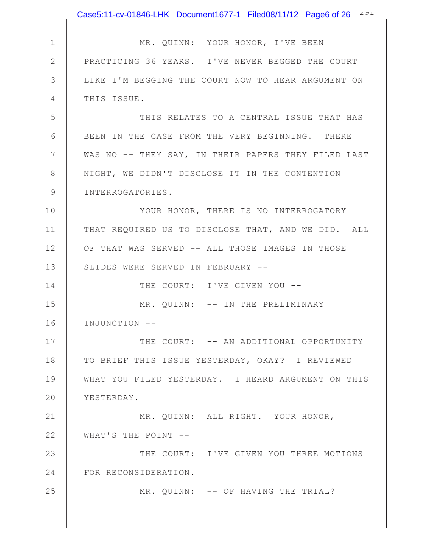|               | Case5:11-cv-01846-LHK Document1677-1 Filed08/11/12 Page6 of 26 491 |
|---------------|--------------------------------------------------------------------|
|               |                                                                    |
| $\mathbf 1$   | MR. QUINN: YOUR HONOR, I'VE BEEN                                   |
| $\mathbf{2}$  | PRACTICING 36 YEARS. I'VE NEVER BEGGED THE COURT                   |
| 3             | LIKE I'M BEGGING THE COURT NOW TO HEAR ARGUMENT ON                 |
| 4             | THIS ISSUE.                                                        |
| 5             | THIS RELATES TO A CENTRAL ISSUE THAT HAS                           |
| 6             | BEEN IN THE CASE FROM THE VERY BEGINNING. THERE                    |
| 7             | WAS NO -- THEY SAY, IN THEIR PAPERS THEY FILED LAST                |
| $\,8\,$       | NIGHT, WE DIDN'T DISCLOSE IT IN THE CONTENTION                     |
| $\mathcal{G}$ | INTERROGATORIES.                                                   |
| 10            | YOUR HONOR, THERE IS NO INTERROGATORY                              |
| 11            | THAT REQUIRED US TO DISCLOSE THAT, AND WE DID. ALL                 |
| 12            | OF THAT WAS SERVED -- ALL THOSE IMAGES IN THOSE                    |
| 13            | SLIDES WERE SERVED IN FEBRUARY --                                  |
| 14            | THE COURT: I'VE GIVEN YOU --                                       |
| 15            | MR. QUINN: -- IN THE PRELIMINARY                                   |
| 16            | INJUNCTION --                                                      |
| 17            | THE COURT: -- AN ADDITIONAL OPPORTUNITY                            |
| 18            | TO BRIEF THIS ISSUE YESTERDAY, OKAY? I REVIEWED                    |
| 19            | WHAT YOU FILED YESTERDAY. I HEARD ARGUMENT ON THIS                 |
| 20            | YESTERDAY.                                                         |
| 21            | MR. QUINN: ALL RIGHT. YOUR HONOR,                                  |
| 22            | WHAT'S THE POINT --                                                |
| 23            | THE COURT: I'VE GIVEN YOU THREE MOTIONS                            |
| 24            | FOR RECONSIDERATION.                                               |
| 25            | MR. QUINN: -- OF HAVING THE TRIAL?                                 |
|               |                                                                    |
|               |                                                                    |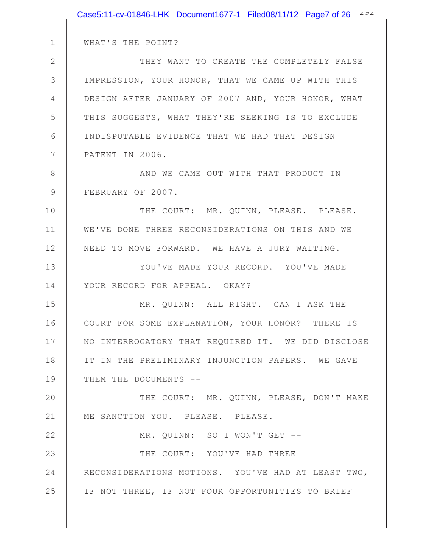|               | Case5:11-cv-01846-LHK Document1677-1 Filed08/11/12 Page7 of 26 494 |
|---------------|--------------------------------------------------------------------|
|               |                                                                    |
| $\mathbf 1$   | WHAT'S THE POINT?                                                  |
| 2             | THEY WANT TO CREATE THE COMPLETELY FALSE                           |
| 3             | IMPRESSION, YOUR HONOR, THAT WE CAME UP WITH THIS                  |
| 4             | DESIGN AFTER JANUARY OF 2007 AND, YOUR HONOR, WHAT                 |
| 5             | THIS SUGGESTS, WHAT THEY'RE SEEKING IS TO EXCLUDE                  |
| 6             | INDISPUTABLE EVIDENCE THAT WE HAD THAT DESIGN                      |
| 7             | PATENT IN 2006.                                                    |
| 8             | AND WE CAME OUT WITH THAT PRODUCT IN                               |
| $\mathcal{G}$ | FEBRUARY OF 2007.                                                  |
| 10            | THE COURT: MR. QUINN, PLEASE. PLEASE.                              |
| 11            | WE'VE DONE THREE RECONSIDERATIONS ON THIS AND WE                   |
| 12            | NEED TO MOVE FORWARD. WE HAVE A JURY WAITING.                      |
| 13            | YOU'VE MADE YOUR RECORD. YOU'VE MADE                               |
| 14            | YOUR RECORD FOR APPEAL. OKAY?                                      |
| 15            | MR. QUINN: ALL RIGHT. CAN I ASK THE                                |
| 16            | COURT FOR SOME EXPLANATION, YOUR HONOR? THERE IS                   |
| 17            | NO INTERROGATORY THAT REQUIRED IT. WE DID DISCLOSE                 |
| 18            | IT IN THE PRELIMINARY INJUNCTION PAPERS. WE GAVE                   |
| 19            | THEM THE DOCUMENTS --                                              |
| 20            | THE COURT: MR. QUINN, PLEASE, DON'T MAKE                           |
| 21            | ME SANCTION YOU. PLEASE. PLEASE.                                   |
| 22            | MR. QUINN: SO I WON'T GET --                                       |
| 23            | THE COURT: YOU'VE HAD THREE                                        |
| 24            | RECONSIDERATIONS MOTIONS. YOU'VE HAD AT LEAST TWO,                 |
| 25            | IF NOT THREE, IF NOT FOUR OPPORTUNITIES TO BRIEF                   |
|               |                                                                    |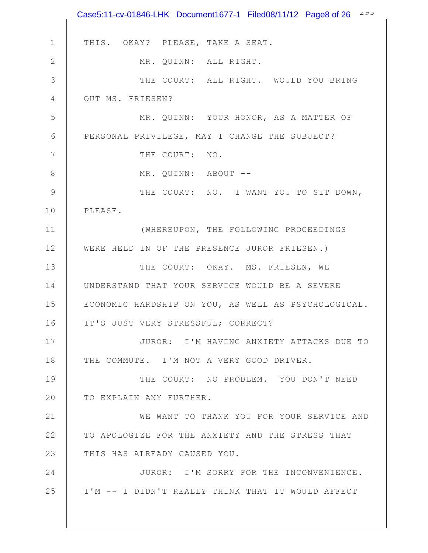|                | Case5:11-cv-01846-LHK Document1677-1 Filed08/11/12 Page8 of 26 493 |
|----------------|--------------------------------------------------------------------|
|                |                                                                    |
| $\mathbf 1$    | THIS. OKAY? PLEASE, TAKE A SEAT.                                   |
| $\mathbf{2}$   | MR. QUINN: ALL RIGHT.                                              |
| 3              | THE COURT: ALL RIGHT. WOULD YOU BRING                              |
| $\overline{4}$ | OUT MS. FRIESEN?                                                   |
| 5              | MR. QUINN: YOUR HONOR, AS A MATTER OF                              |
| 6              | PERSONAL PRIVILEGE, MAY I CHANGE THE SUBJECT?                      |
| 7              | THE COURT: NO.                                                     |
| $\,8\,$        | MR. QUINN: ABOUT --                                                |
| $\mathcal{G}$  | THE COURT: NO. I WANT YOU TO SIT DOWN,                             |
| 10             | PLEASE.                                                            |
| 11             | (WHEREUPON, THE FOLLOWING PROCEEDINGS                              |
| 12             | WERE HELD IN OF THE PRESENCE JUROR FRIESEN.)                       |
| 13             | THE COURT: OKAY. MS. FRIESEN, WE                                   |
| 14             | UNDERSTAND THAT YOUR SERVICE WOULD BE A SEVERE                     |
| 15             | ECONOMIC HARDSHIP ON YOU, AS WELL AS PSYCHOLOGICAL.                |
| 16             | IT'S JUST VERY STRESSFUL; CORRECT?                                 |
| 17             | JUROR: I'M HAVING ANXIETY ATTACKS DUE TO                           |
| 18             | THE COMMUTE. I'M NOT A VERY GOOD DRIVER.                           |
| 19             | THE COURT: NO PROBLEM. YOU DON'T NEED                              |
| 20             | TO EXPLAIN ANY FURTHER.                                            |
| 21             | WE WANT TO THANK YOU FOR YOUR SERVICE AND                          |
| 22             | TO APOLOGIZE FOR THE ANXIETY AND THE STRESS THAT                   |
| 23             | THIS HAS ALREADY CAUSED YOU.                                       |
| 24             | JUROR: I'M SORRY FOR THE INCONVENIENCE.                            |
| 25             | I'M -- I DIDN'T REALLY THINK THAT IT WOULD AFFECT                  |
|                |                                                                    |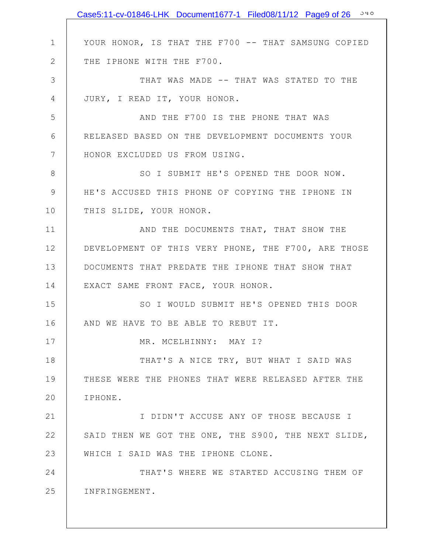|               | Case5:11-cv-01846-LHK Document1677-1 Filed08/11/12 Page9 of 26 340 |
|---------------|--------------------------------------------------------------------|
|               |                                                                    |
| $\mathbf 1$   | YOUR HONOR, IS THAT THE F700 -- THAT SAMSUNG COPIED                |
| 2             | THE IPHONE WITH THE F700.                                          |
| 3             | THAT WAS MADE -- THAT WAS STATED TO THE                            |
| 4             | JURY, I READ IT, YOUR HONOR.                                       |
| 5             | AND THE F700 IS THE PHONE THAT WAS                                 |
| 6             | RELEASED BASED ON THE DEVELOPMENT DOCUMENTS YOUR                   |
| 7             | HONOR EXCLUDED US FROM USING.                                      |
| 8             | SO I SUBMIT HE'S OPENED THE DOOR NOW.                              |
| $\mathcal{G}$ | HE'S ACCUSED THIS PHONE OF COPYING THE IPHONE IN                   |
| 10            | THIS SLIDE, YOUR HONOR.                                            |
| 11            | AND THE DOCUMENTS THAT, THAT SHOW THE                              |
| 12            | DEVELOPMENT OF THIS VERY PHONE, THE F700, ARE THOSE                |
| 13            | DOCUMENTS THAT PREDATE THE IPHONE THAT SHOW THAT                   |
| 14            | EXACT SAME FRONT FACE, YOUR HONOR.                                 |
| 15            | SO I WOULD SUBMIT HE'S OPENED THIS DOOR                            |
| 16            | AND WE HAVE TO BE ABLE TO REBUT IT.                                |
| 17            | MR. MCELHINNY: MAY I?                                              |
| 18            | THAT'S A NICE TRY, BUT WHAT I SAID WAS                             |
| 19            | THESE WERE THE PHONES THAT WERE RELEASED AFTER THE                 |
| 20            | IPHONE.                                                            |
| 21            | I DIDN'T ACCUSE ANY OF THOSE BECAUSE I                             |
| 22            | SAID THEN WE GOT THE ONE, THE S900, THE NEXT SLIDE,                |
| 23            | WHICH I SAID WAS THE IPHONE CLONE.                                 |
| 24            | THAT'S WHERE WE STARTED ACCUSING THEM OF                           |
| 25            | INFRINGEMENT.                                                      |
|               |                                                                    |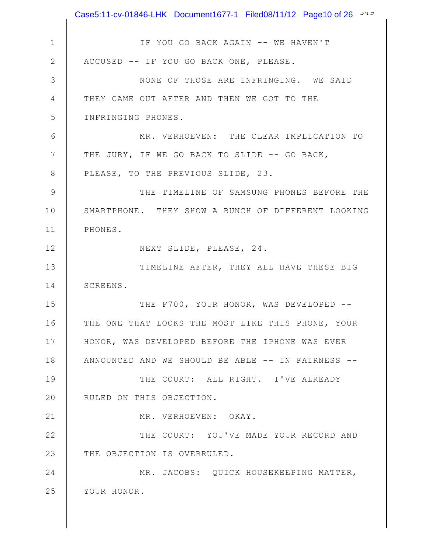|                | Case5:11-cv-01846-LHK Document1677-1 Filed08/11/12 Page10 of 26 349 |
|----------------|---------------------------------------------------------------------|
|                |                                                                     |
| $\mathbf 1$    | IF YOU GO BACK AGAIN -- WE HAVEN'T                                  |
| 2              | ACCUSED -- IF YOU GO BACK ONE, PLEASE.                              |
| 3              | NONE OF THOSE ARE INFRINGING. WE SAID                               |
| 4              | THEY CAME OUT AFTER AND THEN WE GOT TO THE                          |
| 5              | INFRINGING PHONES.                                                  |
| 6              | MR. VERHOEVEN: THE CLEAR IMPLICATION TO                             |
| 7              | THE JURY, IF WE GO BACK TO SLIDE -- GO BACK,                        |
| 8              | PLEASE, TO THE PREVIOUS SLIDE, 23.                                  |
| $\overline{9}$ | THE TIMELINE OF SAMSUNG PHONES BEFORE THE                           |
| 10             | SMARTPHONE. THEY SHOW A BUNCH OF DIFFERENT LOOKING                  |
| 11             | PHONES.                                                             |
| 12             | NEXT SLIDE, PLEASE, 24.                                             |
| 13             | TIMELINE AFTER, THEY ALL HAVE THESE BIG                             |
| 14             | SCREENS.                                                            |
| 15             | THE F700, YOUR HONOR, WAS DEVELOPED --                              |
| 16             | THE ONE THAT LOOKS THE MOST LIKE THIS PHONE, YOUR                   |
| 17             | HONOR, WAS DEVELOPED BEFORE THE IPHONE WAS EVER                     |
| 18             | ANNOUNCED AND WE SHOULD BE ABLE -- IN FAIRNESS --                   |
| 19             | THE COURT: ALL RIGHT. I'VE ALREADY                                  |
| 20             | RULED ON THIS OBJECTION.                                            |
| 21             | MR. VERHOEVEN: OKAY.                                                |
| 22             | THE COURT: YOU'VE MADE YOUR RECORD AND                              |
| 23             | THE OBJECTION IS OVERRULED.                                         |
| 24             | MR. JACOBS: QUICK HOUSEKEEPING MATTER,                              |
| 25             | YOUR HONOR.                                                         |
|                |                                                                     |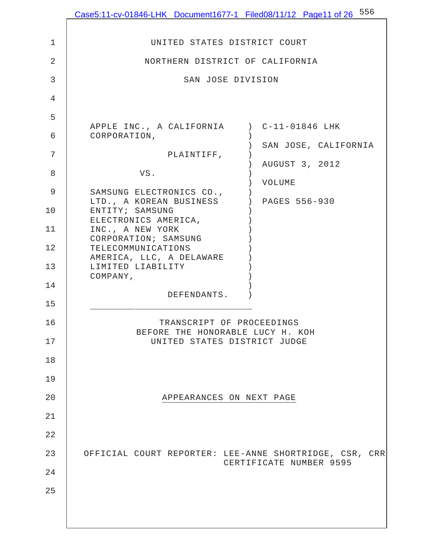|             | Case5:11-cv-01846-LHK Document1677-1 Filed08/11/12 Page11 of 26 556 |                         |
|-------------|---------------------------------------------------------------------|-------------------------|
| $\mathbf 1$ | UNITED STATES DISTRICT COURT                                        |                         |
| 2           | NORTHERN DISTRICT OF CALIFORNIA                                     |                         |
| 3           | SAN JOSE DIVISION                                                   |                         |
| 4           |                                                                     |                         |
| 5           |                                                                     |                         |
| 6           | APPLE INC., A CALIFORNIA ) C-11-01846 LHK<br>CORPORATION,           |                         |
| 7           | PLAINTIFF,                                                          | SAN JOSE, CALIFORNIA    |
| 8           | VS.                                                                 | AUGUST 3, 2012          |
| $\mathsf 9$ | SAMSUNG ELECTRONICS CO.,                                            | VOLUME                  |
| 10          | LTD., A KOREAN BUSINESS<br>ENTITY; SAMSUNG                          | ) PAGES 556-930         |
| 11          | ELECTRONICS AMERICA,<br>INC., A NEW YORK                            |                         |
| 12          | CORPORATION; SAMSUNG<br>TELECOMMUNICATIONS                          |                         |
| 13          | AMERICA, LLC, A DELAWARE<br>LIMITED LIABILITY                       |                         |
| 14          | COMPANY,                                                            |                         |
| 15          | DEFENDANTS.                                                         |                         |
| 16          | TRANSCRIPT OF PROCEEDINGS                                           |                         |
| 17          | BEFORE THE HONORABLE LUCY H. KOH<br>UNITED STATES DISTRICT JUDGE    |                         |
| 18          |                                                                     |                         |
| 19          |                                                                     |                         |
| 20          | APPEARANCES ON NEXT PAGE                                            |                         |
| 21          |                                                                     |                         |
| 22          |                                                                     |                         |
| 23          | OFFICIAL COURT REPORTER: LEE-ANNE SHORTRIDGE, CSR, CRR              | CERTIFICATE NUMBER 9595 |
| 24          |                                                                     |                         |
| 25          |                                                                     |                         |
|             |                                                                     |                         |
|             |                                                                     |                         |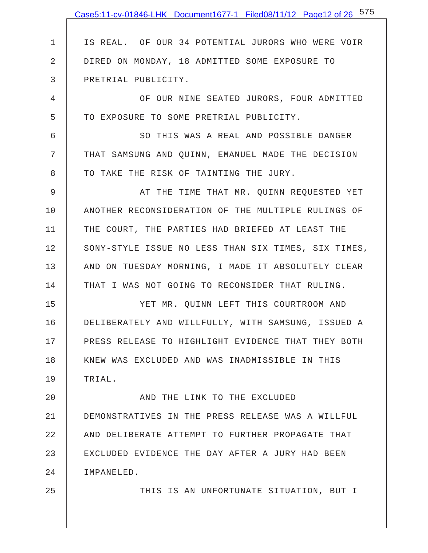|                | Case5:11-cv-01846-LHK Document1677-1 Filed08/11/12 Page12 of 26 575 |
|----------------|---------------------------------------------------------------------|
|                |                                                                     |
| 1              | IS REAL. OF OUR 34 POTENTIAL JURORS WHO WERE VOIR                   |
| $\overline{2}$ | DIRED ON MONDAY, 18 ADMITTED SOME EXPOSURE TO                       |
| 3              | PRETRIAL PUBLICITY.                                                 |
| 4              | OF OUR NINE SEATED JURORS, FOUR ADMITTED                            |
| 5              | TO EXPOSURE TO SOME PRETRIAL PUBLICITY.                             |
| 6              | SO THIS WAS A REAL AND POSSIBLE DANGER                              |
| 7              | THAT SAMSUNG AND QUINN, EMANUEL MADE THE DECISION                   |
| 8              | TO TAKE THE RISK OF TAINTING THE JURY.                              |
| 9              | AT THE TIME THAT MR. QUINN REQUESTED YET                            |
| 10             | ANOTHER RECONSIDERATION OF THE MULTIPLE RULINGS OF                  |
| 11             | THE COURT, THE PARTIES HAD BRIEFED AT LEAST THE                     |
| 12             | SONY-STYLE ISSUE NO LESS THAN SIX TIMES, SIX TIMES,                 |
| 13             | AND ON TUESDAY MORNING, I MADE IT ABSOLUTELY CLEAR                  |
| 14             | THAT I WAS NOT GOING TO RECONSIDER THAT RULING.                     |
| 15             | YET MR. QUINN LEFT THIS COURTROOM AND                               |
| 16             | DELIBERATELY AND WILLFULLY, WITH SAMSUNG, ISSUED A                  |
| 17             | PRESS RELEASE TO HIGHLIGHT EVIDENCE THAT THEY BOTH                  |
| 18             | KNEW WAS EXCLUDED AND WAS INADMISSIBLE IN THIS                      |
| 19             | TRIAL.                                                              |
| 20             | AND THE LINK TO THE EXCLUDED                                        |
| 21             | DEMONSTRATIVES IN THE PRESS RELEASE WAS A WILLFUL                   |
| 22             | AND DELIBERATE ATTEMPT TO FURTHER PROPAGATE THAT                    |
| 23             | EXCLUDED EVIDENCE THE DAY AFTER A JURY HAD BEEN                     |
| 24             | IMPANELED.                                                          |
| 25             | THIS IS AN UNFORTUNATE SITUATION, BUT I                             |
|                |                                                                     |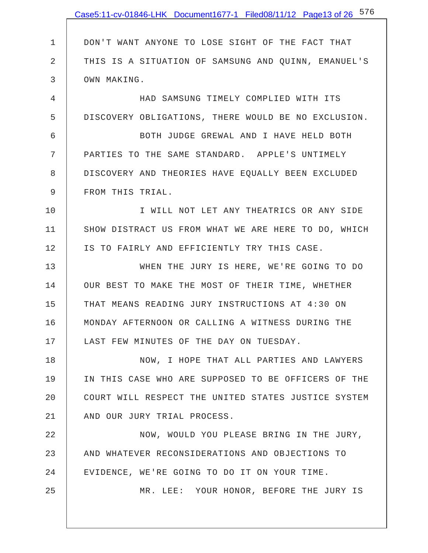|              | Case5:11-cv-01846-LHK Document1677-1 Filed08/11/12 Page13 of 26 576 |
|--------------|---------------------------------------------------------------------|
|              |                                                                     |
| $\mathbf{1}$ | DON'T WANT ANYONE TO LOSE SIGHT OF THE FACT THAT                    |
| 2            | THIS IS A SITUATION OF SAMSUNG AND QUINN, EMANUEL'S                 |
| 3            | OWN MAKING.                                                         |
| 4            | HAD SAMSUNG TIMELY COMPLIED WITH ITS                                |
| 5            | DISCOVERY OBLIGATIONS, THERE WOULD BE NO EXCLUSION.                 |
| 6            | BOTH JUDGE GREWAL AND I HAVE HELD BOTH                              |
| 7            | PARTIES TO THE SAME STANDARD. APPLE'S UNTIMELY                      |
| 8            | DISCOVERY AND THEORIES HAVE EQUALLY BEEN EXCLUDED                   |
| 9            | FROM THIS TRIAL.                                                    |
| 10           | I WILL NOT LET ANY THEATRICS OR ANY SIDE                            |
| 11           | SHOW DISTRACT US FROM WHAT WE ARE HERE TO DO, WHICH                 |
| 12           | IS TO FAIRLY AND EFFICIENTLY TRY THIS CASE.                         |
| 13           | WHEN THE JURY IS HERE, WE'RE GOING TO DO                            |
| 14           | OUR BEST TO MAKE THE MOST OF THEIR TIME, WHETHER                    |
| 15           | THAT MEANS READING JURY INSTRUCTIONS AT 4:30 ON                     |
| 16           | MONDAY AFTERNOON OR CALLING A WITNESS DURING THE                    |
| 17           | LAST FEW MINUTES OF THE DAY ON TUESDAY.                             |
| 18           | NOW, I HOPE THAT ALL PARTIES AND LAWYERS                            |
| 19           | IN THIS CASE WHO ARE SUPPOSED TO BE OFFICERS OF THE                 |
| 20           | COURT WILL RESPECT THE UNITED STATES JUSTICE SYSTEM                 |
| 21           | AND OUR JURY TRIAL PROCESS.                                         |
| 22           | NOW, WOULD YOU PLEASE BRING IN THE JURY,                            |
| 23           | AND WHATEVER RECONSIDERATIONS AND OBJECTIONS TO                     |
| 24           | EVIDENCE, WE'RE GOING TO DO IT ON YOUR TIME.                        |
| 25           | MR. LEE: YOUR HONOR, BEFORE THE JURY IS                             |
|              |                                                                     |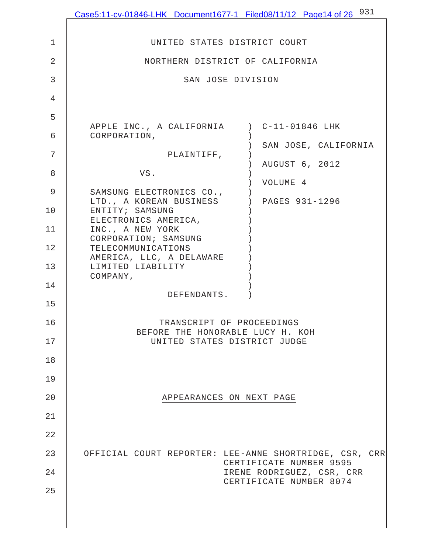|                | Case5:11-cv-01846-LHK Document1677-1 Filed08/11/12 Page14 of 26 $^{931}$          |
|----------------|-----------------------------------------------------------------------------------|
| $\mathbf 1$    | UNITED STATES DISTRICT COURT                                                      |
| $\overline{2}$ | NORTHERN DISTRICT OF CALIFORNIA                                                   |
| 3              | SAN JOSE DIVISION                                                                 |
| 4              |                                                                                   |
| 5              |                                                                                   |
| 6              | APPLE INC., A CALIFORNIA ) C-11-01846 LHK<br>CORPORATION,                         |
| 7              | SAN JOSE, CALIFORNIA<br>PLAINTIFF,                                                |
| 8              | AUGUST 6, 2012<br>VS.                                                             |
| 9              | VOLUME 4<br>SAMSUNG ELECTRONICS CO.,                                              |
| 10             | ) PAGES 931-1296<br>LTD., A KOREAN BUSINESS<br>ENTITY; SAMSUNG                    |
| 11             | ELECTRONICS AMERICA,<br>INC., A NEW YORK                                          |
| 12             | CORPORATION; SAMSUNG<br>TELECOMMUNICATIONS                                        |
| 13             | AMERICA, LLC, A DELAWARE<br>LIMITED LIABILITY<br>COMPANY,                         |
| 14             | DEFENDANTS.                                                                       |
| 15             |                                                                                   |
| 16             | TRANSCRIPT OF PROCEEDINGS<br>BEFORE THE HONORABLE LUCY H. KOH                     |
| 17             | UNITED STATES DISTRICT JUDGE                                                      |
| 18             |                                                                                   |
| 19             |                                                                                   |
| 20             | APPEARANCES ON NEXT PAGE                                                          |
| 21             |                                                                                   |
| 22             |                                                                                   |
| 23             | OFFICIAL COURT REPORTER: LEE-ANNE SHORTRIDGE, CSR, CRR<br>CERTIFICATE NUMBER 9595 |
| 24             | IRENE RODRIGUEZ, CSR, CRR<br>CERTIFICATE NUMBER 8074                              |
| 25             |                                                                                   |
|                |                                                                                   |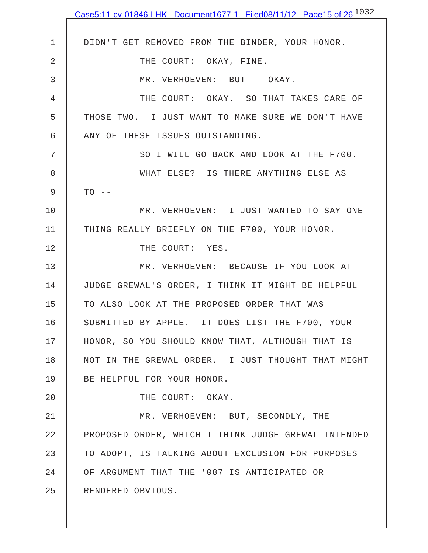|             | Case5:11-cv-01846-LHK Document1677-1 Filed08/11/12 Page15 of 26 $^{1032}$ |
|-------------|---------------------------------------------------------------------------|
|             |                                                                           |
| $\mathbf 1$ | DIDN'T GET REMOVED FROM THE BINDER, YOUR HONOR.                           |
| 2           | THE COURT: OKAY, FINE.                                                    |
| 3           | MR. VERHOEVEN: BUT -- OKAY.                                               |
| 4           | THE COURT: OKAY. SO THAT TAKES CARE OF                                    |
| 5           | THOSE TWO. I JUST WANT TO MAKE SURE WE DON'T HAVE                         |
| 6           | ANY OF THESE ISSUES OUTSTANDING.                                          |
| 7           | SO I WILL GO BACK AND LOOK AT THE F700.                                   |
| 8           | WHAT ELSE? IS THERE ANYTHING ELSE AS                                      |
| 9           | $TO$ --                                                                   |
| 10          | MR. VERHOEVEN: I JUST WANTED TO SAY ONE                                   |
| 11          | THING REALLY BRIEFLY ON THE F700, YOUR HONOR.                             |
| 12          | THE COURT: YES.                                                           |
| 13          | MR. VERHOEVEN: BECAUSE IF YOU LOOK AT                                     |
| 14          | JUDGE GREWAL'S ORDER, I THINK IT MIGHT BE HELPFUL                         |
| 15          | TO ALSO LOOK AT THE PROPOSED ORDER THAT WAS                               |
| 16          | SUBMITTED BY APPLE. IT DOES LIST THE F700, YOUR                           |
| 17          | HONOR, SO YOU SHOULD KNOW THAT, ALTHOUGH THAT IS                          |
| 18          | NOT IN THE GREWAL ORDER. I JUST THOUGHT THAT MIGHT                        |
| 19          | BE HELPFUL FOR YOUR HONOR.                                                |
| 20          | THE COURT: OKAY.                                                          |
| 21          | MR. VERHOEVEN: BUT, SECONDLY, THE                                         |
| 22          | PROPOSED ORDER, WHICH I THINK JUDGE GREWAL INTENDED                       |
| 23          | TO ADOPT, IS TALKING ABOUT EXCLUSION FOR PURPOSES                         |
| 24          | OF ARGUMENT THAT THE '087 IS ANTICIPATED OR                               |
| 25          | RENDERED OBVIOUS.                                                         |
|             |                                                                           |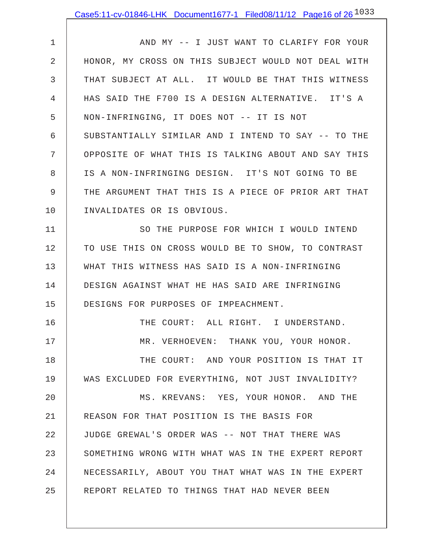1 2 3 4 5 6 7 8 9 10 AND MY -- I JUST WANT TO CLARIFY FOR YOUR HONOR, MY CROSS ON THIS SUBJECT WOULD NOT DEAL WITH THAT SUBJECT AT ALL. IT WOULD BE THAT THIS WITNESS HAS SAID THE F700 IS A DESIGN ALTERNATIVE. IT'S A NON-INFRINGING, IT DOES NOT -- IT IS NOT SUBSTANTIALLY SIMILAR AND I INTEND TO SAY -- TO THE OPPOSITE OF WHAT THIS IS TALKING ABOUT AND SAY THIS IS A NON-INFRINGING DESIGN. IT'S NOT GOING TO BE THE ARGUMENT THAT THIS IS A PIECE OF PRIOR ART THAT INVALIDATES OR IS OBVIOUS.

11 12 13 14 15 SO THE PURPOSE FOR WHICH I WOULD INTEND TO USE THIS ON CROSS WOULD BE TO SHOW, TO CONTRAST WHAT THIS WITNESS HAS SAID IS A NON-INFRINGING DESIGN AGAINST WHAT HE HAS SAID ARE INFRINGING DESIGNS FOR PURPOSES OF IMPEACHMENT.

16 17 18 19 20 21 22 23 24 25 THE COURT: ALL RIGHT. I UNDERSTAND. MR. VERHOEVEN: THANK YOU, YOUR HONOR. THE COURT: AND YOUR POSITION IS THAT IT WAS EXCLUDED FOR EVERYTHING, NOT JUST INVALIDITY? MS. KREVANS: YES, YOUR HONOR. AND THE REASON FOR THAT POSITION IS THE BASIS FOR JUDGE GREWAL'S ORDER WAS -- NOT THAT THERE WAS SOMETHING WRONG WITH WHAT WAS IN THE EXPERT REPORT NECESSARILY, ABOUT YOU THAT WHAT WAS IN THE EXPERT REPORT RELATED TO THINGS THAT HAD NEVER BEEN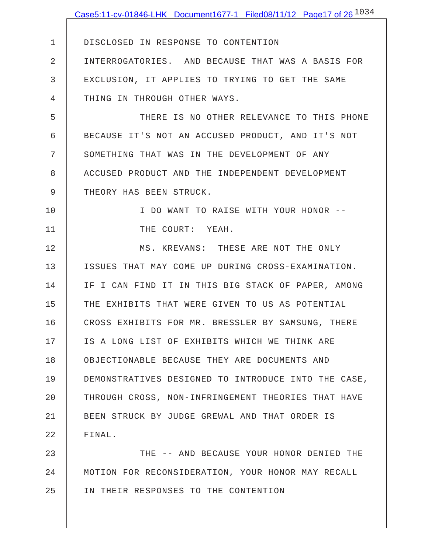|              | Case5:11-cv-01846-LHK Document1677-1 Filed08/11/12 Page17 of 26 $^{1034}$ |
|--------------|---------------------------------------------------------------------------|
|              |                                                                           |
| $\mathbf{1}$ | DISCLOSED IN RESPONSE TO CONTENTION                                       |
| 2            | INTERROGATORIES. AND BECAUSE THAT WAS A BASIS FOR                         |
| 3            | EXCLUSION, IT APPLIES TO TRYING TO GET THE SAME                           |
| 4            | THING IN THROUGH OTHER WAYS.                                              |
| 5            | THERE IS NO OTHER RELEVANCE TO THIS PHONE                                 |
| 6            | BECAUSE IT'S NOT AN ACCUSED PRODUCT, AND IT'S NOT                         |
| 7            | SOMETHING THAT WAS IN THE DEVELOPMENT OF ANY                              |
| 8            | ACCUSED PRODUCT AND THE INDEPENDENT DEVELOPMENT                           |
| 9            | THEORY HAS BEEN STRUCK.                                                   |
| 10           | I DO WANT TO RAISE WITH YOUR HONOR --                                     |
| 11           | THE COURT: YEAH.                                                          |
| 12           | MS. KREVANS: THESE ARE NOT THE ONLY                                       |
| 13           | ISSUES THAT MAY COME UP DURING CROSS-EXAMINATION.                         |
| 14           | IF I CAN FIND IT IN THIS BIG STACK OF PAPER, AMONG                        |
| 15           | THE EXHIBITS THAT WERE GIVEN TO US AS POTENTIAL                           |
| 16           | CROSS EXHIBITS FOR MR. BRESSLER BY SAMSUNG, THERE                         |
| 17           | IS A LONG LIST OF EXHIBITS WHICH WE THINK ARE                             |
| 18           | OBJECTIONABLE BECAUSE THEY ARE DOCUMENTS AND                              |
| 19           | DEMONSTRATIVES DESIGNED TO INTRODUCE INTO THE CASE,                       |
| 20           | THROUGH CROSS, NON-INFRINGEMENT THEORIES THAT HAVE                        |
| 21           | BEEN STRUCK BY JUDGE GREWAL AND THAT ORDER IS                             |
| 22           | FINAL.                                                                    |
| 23           | THE -- AND BECAUSE YOUR HONOR DENIED THE                                  |
| 24           | MOTION FOR RECONSIDERATION, YOUR HONOR MAY RECALL                         |
| 25           | IN THEIR RESPONSES TO THE CONTENTION                                      |
|              |                                                                           |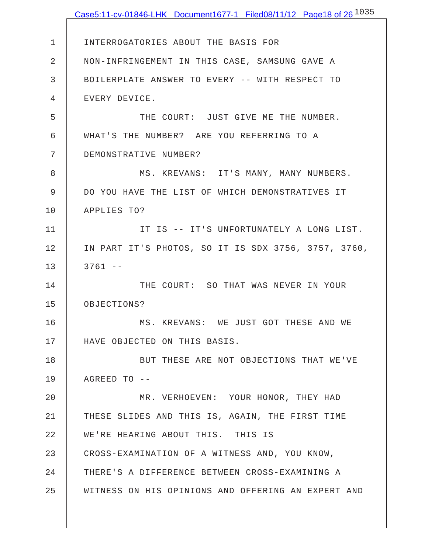|             | Case5:11-cv-01846-LHK Document1677-1 Filed08/11/12 Page18 of 26 <sup>1035</sup> |
|-------------|---------------------------------------------------------------------------------|
|             |                                                                                 |
| $\mathbf 1$ | INTERROGATORIES ABOUT THE BASIS FOR                                             |
| 2           | NON-INFRINGEMENT IN THIS CASE, SAMSUNG GAVE A                                   |
| 3           | BOILERPLATE ANSWER TO EVERY -- WITH RESPECT TO                                  |
| 4           | EVERY DEVICE.                                                                   |
| 5           | THE COURT: JUST GIVE ME THE NUMBER.                                             |
| 6           | WHAT'S THE NUMBER? ARE YOU REFERRING TO A                                       |
| 7           | DEMONSTRATIVE NUMBER?                                                           |
| 8           | MS. KREVANS: IT'S MANY, MANY NUMBERS.                                           |
| 9           | DO YOU HAVE THE LIST OF WHICH DEMONSTRATIVES IT                                 |
| 10          | APPLIES TO?                                                                     |
| 11          | IT IS -- IT'S UNFORTUNATELY A LONG LIST.                                        |
| 12          | IN PART IT'S PHOTOS, SO IT IS SDX 3756, 3757, 3760,                             |
| 13          | $3761 - -$                                                                      |
| 14          | THE COURT: SO THAT WAS NEVER IN YOUR                                            |
| 15          | OBJECTIONS?                                                                     |
| 16          | MS. KREVANS: WE JUST GOT THESE AND WE                                           |
| 17          | HAVE OBJECTED ON THIS BASIS.                                                    |
| 18          | BUT THESE ARE NOT OBJECTIONS THAT WE'VE                                         |
| 19          | $AGREED TO$ --                                                                  |
| 20          | MR. VERHOEVEN: YOUR HONOR, THEY HAD                                             |
| 21          | THESE SLIDES AND THIS IS, AGAIN, THE FIRST TIME                                 |
| 22          | WE'RE HEARING ABOUT THIS. THIS IS                                               |
| 23          | CROSS-EXAMINATION OF A WITNESS AND, YOU KNOW,                                   |
| 24          | THERE'S A DIFFERENCE BETWEEN CROSS-EXAMINING A                                  |
| 25          | WITNESS ON HIS OPINIONS AND OFFERING AN EXPERT AND                              |
|             |                                                                                 |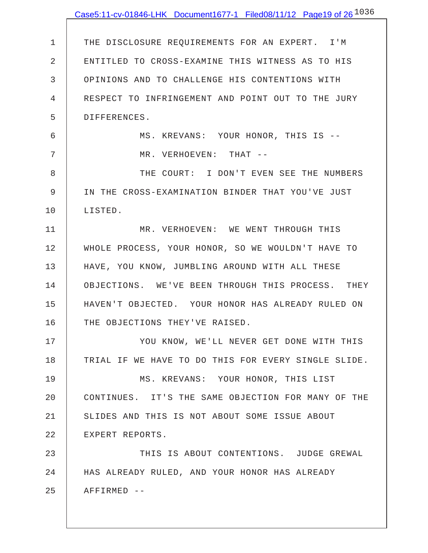|             | Case5:11-cv-01846-LHK Document1677-1 Filed08/11/12 Page19 of 26 <sup>1036</sup> |
|-------------|---------------------------------------------------------------------------------|
|             |                                                                                 |
| $\mathbf 1$ | THE DISCLOSURE REQUIREMENTS FOR AN EXPERT. I'M                                  |
| 2           | ENTITLED TO CROSS-EXAMINE THIS WITNESS AS TO HIS                                |
| 3           | OPINIONS AND TO CHALLENGE HIS CONTENTIONS WITH                                  |
| 4           | RESPECT TO INFRINGEMENT AND POINT OUT TO THE JURY                               |
| 5           | DIFFERENCES.                                                                    |
| 6           | MS. KREVANS: YOUR HONOR, THIS IS --                                             |
| 7           | MR. VERHOEVEN: THAT --                                                          |
| 8           | THE COURT: I DON'T EVEN SEE THE NUMBERS                                         |
| $\mathsf 9$ | IN THE CROSS-EXAMINATION BINDER THAT YOU'VE JUST                                |
| 10          | LISTED.                                                                         |
| 11          | MR. VERHOEVEN: WE WENT THROUGH THIS                                             |
| 12          | WHOLE PROCESS, YOUR HONOR, SO WE WOULDN'T HAVE TO                               |
| 13          | HAVE, YOU KNOW, JUMBLING AROUND WITH ALL THESE                                  |
| 14          | OBJECTIONS. WE'VE BEEN THROUGH THIS PROCESS. THEY                               |
| 15          | HAVEN'T OBJECTED. YOUR HONOR HAS ALREADY RULED ON                               |
| 16          | THE OBJECTIONS THEY'VE RAISED.                                                  |
| 17          | YOU KNOW, WE'LL NEVER GET DONE WITH THIS                                        |
| 18          | TRIAL IF WE HAVE TO DO THIS FOR EVERY SINGLE SLIDE.                             |
| 19          | MS. KREVANS: YOUR HONOR, THIS LIST                                              |
| 20          | CONTINUES. IT'S THE SAME OBJECTION FOR MANY OF THE                              |
| 21          | SLIDES AND THIS IS NOT ABOUT SOME ISSUE ABOUT                                   |
| 22          | EXPERT REPORTS.                                                                 |
| 23          | THIS IS ABOUT CONTENTIONS. JUDGE GREWAL                                         |
| 24          | HAS ALREADY RULED, AND YOUR HONOR HAS ALREADY                                   |
| 25          | AFFIRMED --                                                                     |
|             |                                                                                 |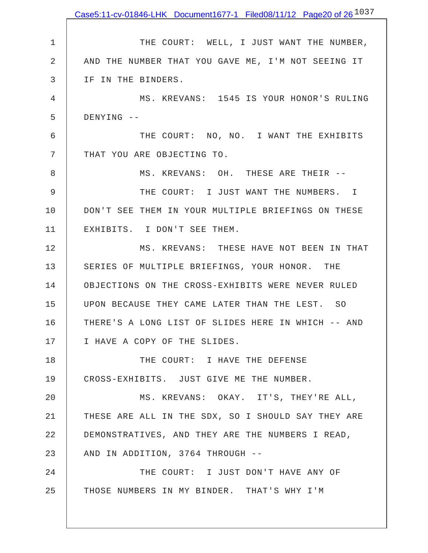|    | Case5:11-cv-01846-LHK Document1677-1 Filed08/11/12 Page20 of 26 <sup>1037</sup> |
|----|---------------------------------------------------------------------------------|
|    |                                                                                 |
| 1  | THE COURT: WELL, I JUST WANT THE NUMBER,                                        |
| 2  | AND THE NUMBER THAT YOU GAVE ME, I'M NOT SEEING IT                              |
| 3  | IF IN THE BINDERS.                                                              |
| 4  | MS. KREVANS: 1545 IS YOUR HONOR'S RULING                                        |
| 5  | DENYING --                                                                      |
| 6  | THE COURT: NO, NO. I WANT THE EXHIBITS                                          |
| 7  | THAT YOU ARE OBJECTING TO.                                                      |
| 8  | MS. KREVANS: OH. THESE ARE THEIR --                                             |
| 9  | THE COURT: I JUST WANT THE NUMBERS. I                                           |
| 10 | DON'T SEE THEM IN YOUR MULTIPLE BRIEFINGS ON THESE                              |
| 11 | EXHIBITS. I DON'T SEE THEM.                                                     |
| 12 | MS. KREVANS: THESE HAVE NOT BEEN IN THAT                                        |
| 13 | SERIES OF MULTIPLE BRIEFINGS, YOUR HONOR. THE                                   |
| 14 | OBJECTIONS ON THE CROSS-EXHIBITS WERE NEVER RULED                               |
| 15 | UPON BECAUSE THEY CAME LATER THAN THE LEST. SO                                  |
| 16 | THERE'S A LONG LIST OF SLIDES HERE IN WHICH -- AND                              |
| 17 | I HAVE A COPY OF THE SLIDES.                                                    |
| 18 | THE COURT: I HAVE THE DEFENSE                                                   |
| 19 | CROSS-EXHIBITS. JUST GIVE ME THE NUMBER.                                        |
| 20 | MS. KREVANS: OKAY. IT'S, THEY'RE ALL,                                           |
| 21 | THESE ARE ALL IN THE SDX, SO I SHOULD SAY THEY ARE                              |
| 22 | DEMONSTRATIVES, AND THEY ARE THE NUMBERS I READ,                                |
| 23 | AND IN ADDITION, 3764 THROUGH --                                                |
| 24 | THE COURT: I JUST DON'T HAVE ANY OF                                             |
| 25 | THOSE NUMBERS IN MY BINDER. THAT'S WHY I'M                                      |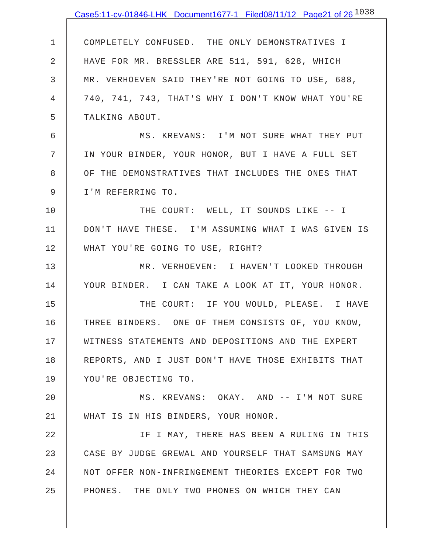|    | Case5:11-cv-01846-LHK Document1677-1 Filed08/11/12 Page21 of 26 $^{1038}$ |
|----|---------------------------------------------------------------------------|
|    |                                                                           |
| 1  | COMPLETELY CONFUSED. THE ONLY DEMONSTRATIVES I                            |
| 2  | HAVE FOR MR. BRESSLER ARE 511, 591, 628, WHICH                            |
| 3  | MR. VERHOEVEN SAID THEY'RE NOT GOING TO USE, 688,                         |
| 4  | 740, 741, 743, THAT'S WHY I DON'T KNOW WHAT YOU'RE                        |
| 5  | TALKING ABOUT.                                                            |
| 6  | MS. KREVANS: I'M NOT SURE WHAT THEY PUT                                   |
| 7  | IN YOUR BINDER, YOUR HONOR, BUT I HAVE A FULL SET                         |
| 8  | OF THE DEMONSTRATIVES THAT INCLUDES THE ONES THAT                         |
| 9  | I'M REFERRING TO.                                                         |
| 10 | THE COURT: WELL, IT SOUNDS LIKE -- I                                      |
| 11 | DON'T HAVE THESE. I'M ASSUMING WHAT I WAS GIVEN IS                        |
| 12 | WHAT YOU'RE GOING TO USE, RIGHT?                                          |
| 13 | MR. VERHOEVEN: I HAVEN'T LOOKED THROUGH                                   |
| 14 | YOUR BINDER. I CAN TAKE A LOOK AT IT, YOUR HONOR.                         |
| 15 | THE COURT: IF YOU WOULD, PLEASE. I HAVE                                   |
| 16 | THREE BINDERS. ONE OF THEM CONSISTS OF, YOU KNOW,                         |
| 17 | WITNESS STATEMENTS AND DEPOSITIONS AND THE EXPERT                         |
| 18 | REPORTS, AND I JUST DON'T HAVE THOSE EXHIBITS THAT                        |
| 19 | YOU'RE OBJECTING TO.                                                      |
| 20 | MS. KREVANS: OKAY. AND -- I'M NOT SURE                                    |
| 21 | WHAT IS IN HIS BINDERS, YOUR HONOR.                                       |
| 22 | IF I MAY, THERE HAS BEEN A RULING IN THIS                                 |
| 23 | CASE BY JUDGE GREWAL AND YOURSELF THAT SAMSUNG MAY                        |
| 24 | NOT OFFER NON-INFRINGEMENT THEORIES EXCEPT FOR TWO                        |
| 25 | PHONES. THE ONLY TWO PHONES ON WHICH THEY CAN                             |
|    |                                                                           |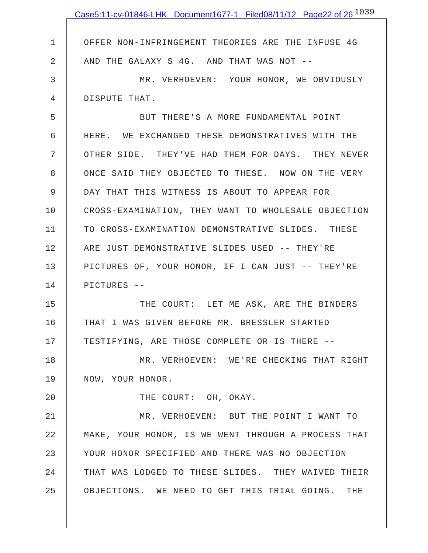|             | Case5:11-cv-01846-LHK Document1677-1 Filed08/11/12 Page22 of 26 <sup>1039</sup> |
|-------------|---------------------------------------------------------------------------------|
|             |                                                                                 |
| $\mathbf 1$ | OFFER NON-INFRINGEMENT THEORIES ARE THE INFUSE 4G                               |
| 2           | AND THE GALAXY S 4G. AND THAT WAS NOT --                                        |
| 3           | MR. VERHOEVEN: YOUR HONOR, WE OBVIOUSLY                                         |
| 4           | DISPUTE THAT.                                                                   |
| 5           | BUT THERE'S A MORE FUNDAMENTAL POINT                                            |
| 6           | HERE. WE EXCHANGED THESE DEMONSTRATIVES WITH THE                                |
| 7           | OTHER SIDE. THEY'VE HAD THEM FOR DAYS. THEY NEVER                               |
| 8           | ONCE SAID THEY OBJECTED TO THESE. NOW ON THE VERY                               |
| 9           | DAY THAT THIS WITNESS IS ABOUT TO APPEAR FOR                                    |
| 10          | CROSS-EXAMINATION, THEY WANT TO WHOLESALE OBJECTION                             |
| 11          | TO CROSS-EXAMINATION DEMONSTRATIVE SLIDES. THESE                                |
| 12          | ARE JUST DEMONSTRATIVE SLIDES USED -- THEY'RE                                   |
| 13          | PICTURES OF, YOUR HONOR, IF I CAN JUST -- THEY'RE                               |
| 14          | PICTURES --                                                                     |
| 15          | THE COURT: LET ME ASK, ARE THE BINDERS                                          |
| 16          | THAT I WAS GIVEN BEFORE MR. BRESSLER STARTED                                    |
| 17          | TESTIFYING, ARE THOSE COMPLETE OR IS THERE --                                   |
| 18          | MR. VERHOEVEN: WE'RE CHECKING THAT RIGHT                                        |
| 19          | NOW, YOUR HONOR.                                                                |
| 20          | THE COURT: OH, OKAY.                                                            |
| 21          | MR. VERHOEVEN: BUT THE POINT I WANT TO                                          |
| 22          | MAKE, YOUR HONOR, IS WE WENT THROUGH A PROCESS THAT                             |
| 23          | YOUR HONOR SPECIFIED AND THERE WAS NO OBJECTION                                 |
| 24          | THAT WAS LODGED TO THESE SLIDES. THEY WAIVED THEIR                              |
| 25          | OBJECTIONS. WE NEED TO GET THIS TRIAL GOING. THE                                |
|             |                                                                                 |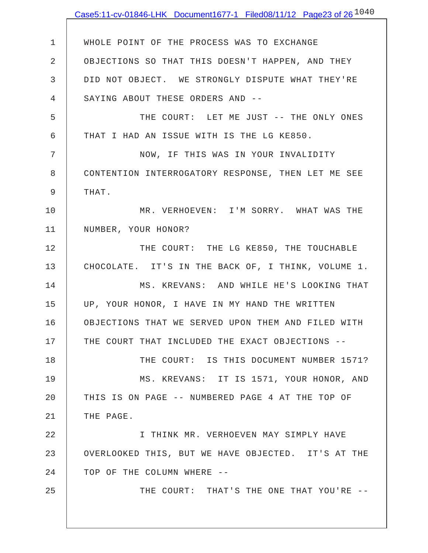|                | Case5:11-cv-01846-LHK Document1677-1 Filed08/11/12 Page23 of 26 $^{1040}$ |
|----------------|---------------------------------------------------------------------------|
|                |                                                                           |
| $\mathbf 1$    | WHOLE POINT OF THE PROCESS WAS TO EXCHANGE                                |
| $\overline{2}$ | OBJECTIONS SO THAT THIS DOESN'T HAPPEN, AND THEY                          |
| 3              | DID NOT OBJECT. WE STRONGLY DISPUTE WHAT THEY'RE                          |
| 4              | SAYING ABOUT THESE ORDERS AND --                                          |
| 5              | THE COURT: LET ME JUST -- THE ONLY ONES                                   |
| 6              | THAT I HAD AN ISSUE WITH IS THE LG KE850.                                 |
| 7              | NOW, IF THIS WAS IN YOUR INVALIDITY                                       |
| 8              | CONTENTION INTERROGATORY RESPONSE, THEN LET ME SEE                        |
| 9              | THAT.                                                                     |
| 10             | MR. VERHOEVEN: I'M SORRY. WHAT WAS THE                                    |
| 11             | NUMBER, YOUR HONOR?                                                       |
| 12             | THE COURT: THE LG KE850, THE TOUCHABLE                                    |
| 13             | CHOCOLATE. IT'S IN THE BACK OF, I THINK, VOLUME 1.                        |
| 14             | MS. KREVANS: AND WHILE HE'S LOOKING THAT                                  |
| 15             | UP, YOUR HONOR, I HAVE IN MY HAND THE WRITTEN                             |
| 16             | OBJECTIONS THAT WE SERVED UPON THEM AND FILED WITH                        |
| 17             | THE COURT THAT INCLUDED THE EXACT OBJECTIONS --                           |
| 18             | THE COURT: IS THIS DOCUMENT NUMBER 1571?                                  |
| 19             | MS. KREVANS: IT IS 1571, YOUR HONOR, AND                                  |
| 20             | THIS IS ON PAGE -- NUMBERED PAGE 4 AT THE TOP OF                          |
| 21             | THE PAGE.                                                                 |
| 22             | I THINK MR. VERHOEVEN MAY SIMPLY HAVE                                     |
| 23             | OVERLOOKED THIS, BUT WE HAVE OBJECTED. IT'S AT THE                        |
| 24             | TOP OF THE COLUMN WHERE --                                                |
| 25             | THE COURT: THAT'S THE ONE THAT YOU'RE --                                  |
|                |                                                                           |
|                |                                                                           |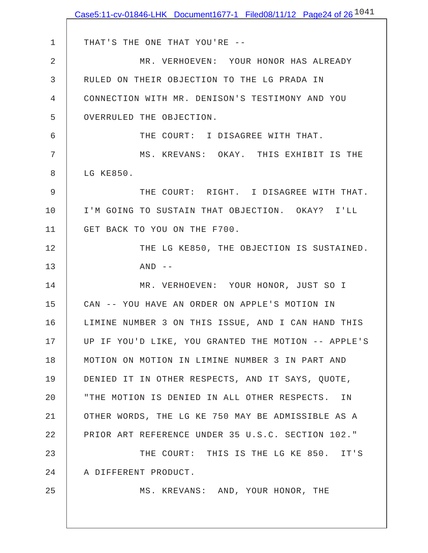|             | Case5:11-cv-01846-LHK Document1677-1 Filed08/11/12 Page24 of 26 $^{1041}$ |
|-------------|---------------------------------------------------------------------------|
|             |                                                                           |
| $\mathbf 1$ | THAT'S THE ONE THAT YOU'RE --                                             |
| 2           | MR. VERHOEVEN: YOUR HONOR HAS ALREADY                                     |
| 3           | RULED ON THEIR OBJECTION TO THE LG PRADA IN                               |
| 4           | CONNECTION WITH MR. DENISON'S TESTIMONY AND YOU                           |
| 5           | OVERRULED THE OBJECTION.                                                  |
| 6           | THE COURT: I DISAGREE WITH THAT.                                          |
| 7           | MS. KREVANS: OKAY. THIS EXHIBIT IS THE                                    |
| 8           | LG KE850.                                                                 |
| 9           | THE COURT: RIGHT. I DISAGREE WITH THAT.                                   |
| 10          | I'M GOING TO SUSTAIN THAT OBJECTION. OKAY? I'LL                           |
| 11          | GET BACK TO YOU ON THE F700.                                              |
| 12          | THE LG KE850, THE OBJECTION IS SUSTAINED.                                 |
| 13          | $AND$ --                                                                  |
| 14          | MR. VERHOEVEN: YOUR HONOR, JUST SO I                                      |
| 15          | CAN -- YOU HAVE AN ORDER ON APPLE'S MOTION IN                             |
| 16          | LIMINE NUMBER 3 ON THIS ISSUE, AND I CAN HAND THIS                        |
| 17          | UP IF YOU'D LIKE, YOU GRANTED THE MOTION -- APPLE'S                       |
| 18          | MOTION ON MOTION IN LIMINE NUMBER 3 IN PART AND                           |
| 19          | DENIED IT IN OTHER RESPECTS, AND IT SAYS, QUOTE,                          |
| 20          | "THE MOTION IS DENIED IN ALL OTHER RESPECTS. IN                           |
| 21          | OTHER WORDS, THE LG KE 750 MAY BE ADMISSIBLE AS A                         |
| 22          | PRIOR ART REFERENCE UNDER 35 U.S.C. SECTION 102."                         |
| 23          | THE COURT: THIS IS THE LG KE 850. IT'S                                    |
| 24          | A DIFFERENT PRODUCT.                                                      |
| 25          | MS. KREVANS: AND, YOUR HONOR, THE                                         |
|             |                                                                           |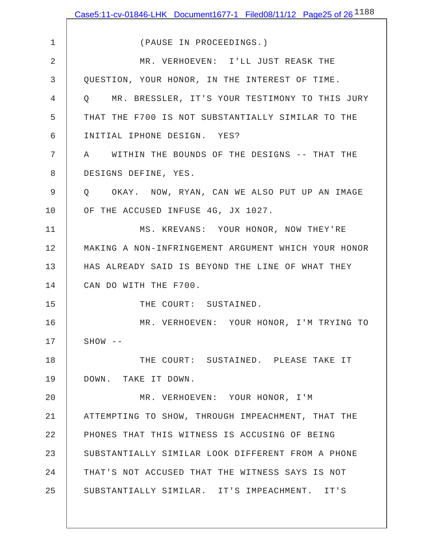|             | Case5:11-cv-01846-LHK Document1677-1 Filed08/11/12 Page25 of 26 $^{1188}$ |
|-------------|---------------------------------------------------------------------------|
|             |                                                                           |
| $\mathbf 1$ | (PAUSE IN PROCEEDINGS.)                                                   |
| 2           | MR. VERHOEVEN: I'LL JUST REASK THE                                        |
| 3           | QUESTION, YOUR HONOR, IN THE INTEREST OF TIME.                            |
| 4           | Q MR. BRESSLER, IT'S YOUR TESTIMONY TO THIS JURY                          |
| 5           | THAT THE F700 IS NOT SUBSTANTIALLY SIMILAR TO THE                         |
| 6           | INITIAL IPHONE DESIGN. YES?                                               |
| 7           | A WITHIN THE BOUNDS OF THE DESIGNS -- THAT THE                            |
| 8           | DESIGNS DEFINE, YES.                                                      |
| 9           | Q OKAY. NOW, RYAN, CAN WE ALSO PUT UP AN IMAGE                            |
| 10          | OF THE ACCUSED INFUSE 4G, JX 1027.                                        |
| 11          | MS. KREVANS: YOUR HONOR, NOW THEY'RE                                      |
| 12          | MAKING A NON-INFRINGEMENT ARGUMENT WHICH YOUR HONOR                       |
| 13          | HAS ALREADY SAID IS BEYOND THE LINE OF WHAT THEY                          |
| 14          | CAN DO WITH THE F700.                                                     |
| 15          | THE COURT: SUSTAINED.                                                     |
| 16          | MR. VERHOEVEN: YOUR HONOR, I'M TRYING TO                                  |
| 17          | $SHOW$ --                                                                 |
| 18          | THE COURT: SUSTAINED. PLEASE TAKE IT                                      |
| 19          | DOWN. TAKE IT DOWN.                                                       |
| 20          | MR. VERHOEVEN: YOUR HONOR, I'M                                            |
| 21          | ATTEMPTING TO SHOW, THROUGH IMPEACHMENT, THAT THE                         |
| 22          | PHONES THAT THIS WITNESS IS ACCUSING OF BEING                             |
| 23          | SUBSTANTIALLY SIMILAR LOOK DIFFERENT FROM A PHONE                         |
| 24          | THAT'S NOT ACCUSED THAT THE WITNESS SAYS IS NOT                           |
| 25          | SUBSTANTIALLY SIMILAR. IT'S IMPEACHMENT. IT'S                             |
|             |                                                                           |